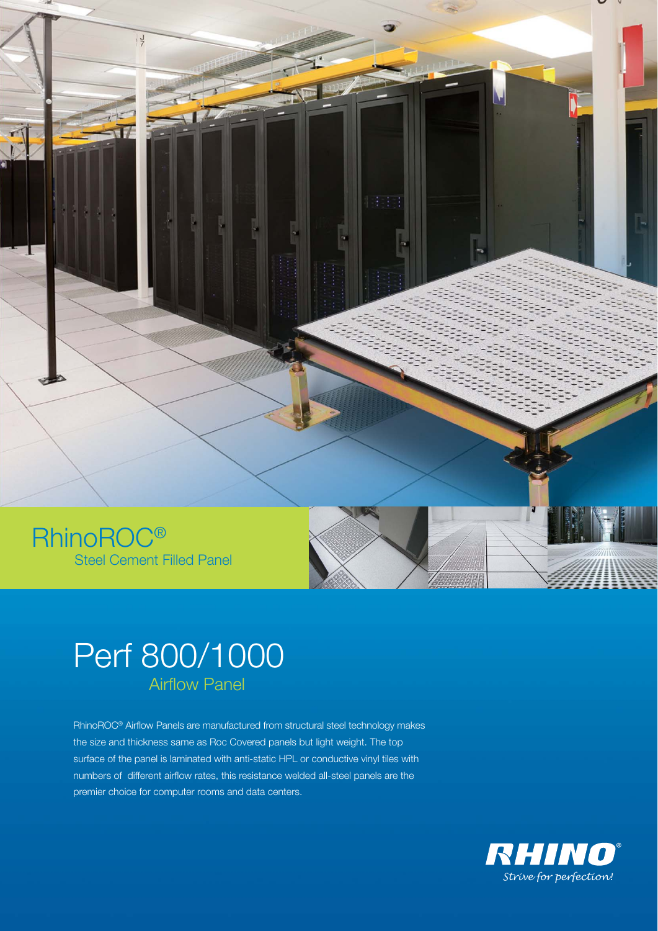

# Perf 800/1000 Airflow Panel

RhinoROC® Airflow Panels are manufactured from structural steel technology makes the size and thickness same as Roc Covered panels but light weight. The top surface of the panel is laminated with anti-static HPL or conductive vinyl tiles with numbers of different airflow rates, this resistance welded all-steel panels are the premier choice for computer rooms and data centers.

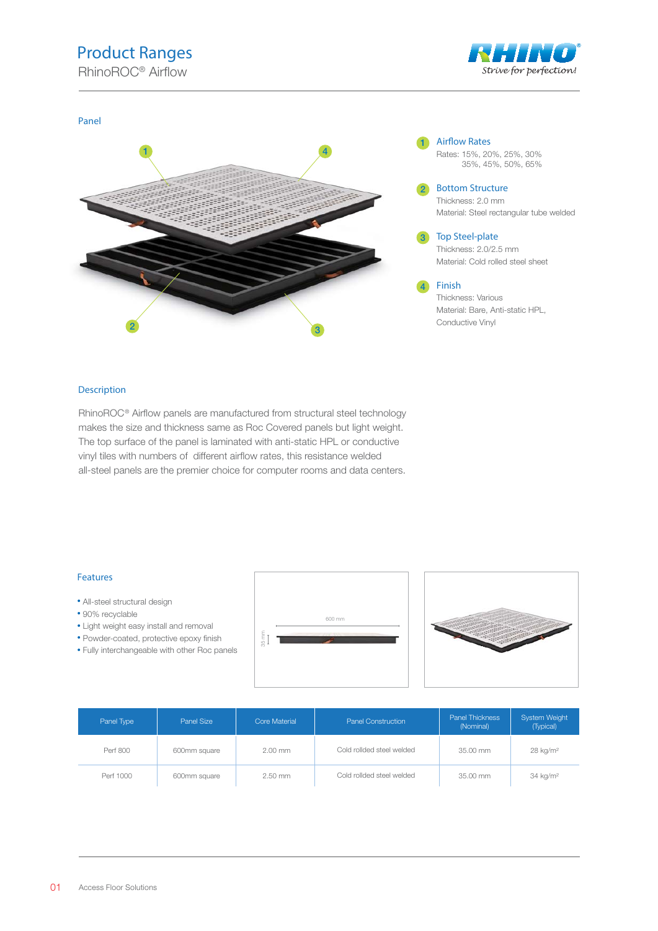## Product Ranges





#### Description

RhinoROC<sup>®</sup> Airflow panels are manufactured from structural steel technology makes the size and thickness same as Roc Covered panels but light weight. The top surface of the panel is laminated with anti-static HPL or conductive vinyl tiles with numbers of different airflow rates, this resistance welded all-steel panels are the premier choice for computer rooms and data centers.

#### Features

- All-steel structural design
- 90% recyclable
- Light weight easy install and removal
- Powder-coated, protective epoxy finish
- Fully interchangeable with other Roc panels





| Panel Type | Panel Size   | <b>Panel Construction</b><br><b>Core Material</b> |                           | Panel Thickness<br>(Nominal) | <b>System Weight</b><br>(Typical) |  |
|------------|--------------|---------------------------------------------------|---------------------------|------------------------------|-----------------------------------|--|
| Perf 800   | 600mm square | $2.00$ mm                                         | Cold rollded steel welded | 35.00 mm                     | $28$ kg/m <sup>2</sup>            |  |
| Perf 1000  | 600mm square | 2.50 mm                                           | Cold rollded steel welded | 35.00 mm                     | 34 kg/m <sup>2</sup>              |  |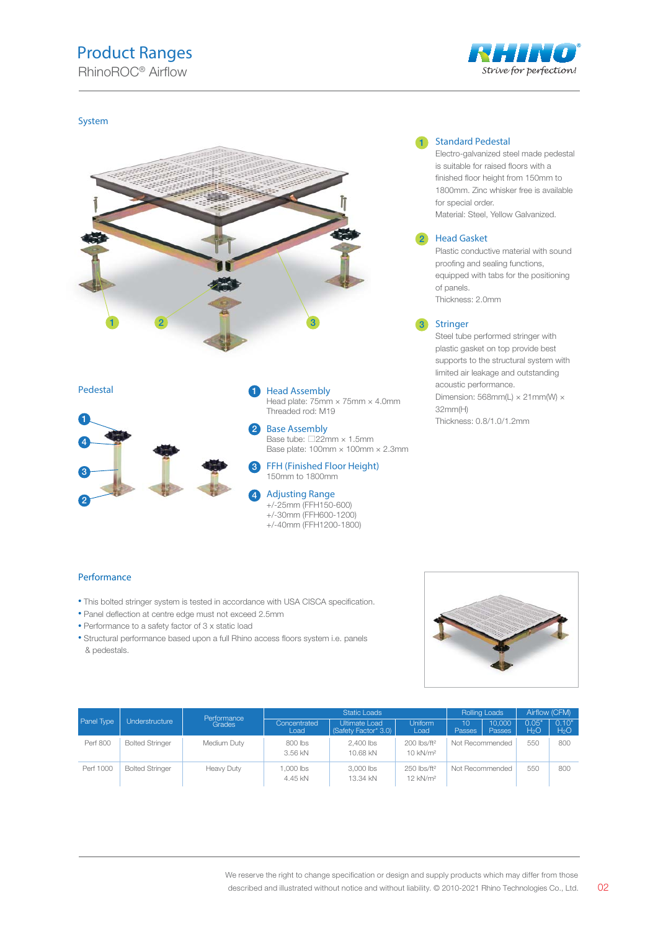### Product Ranges



#### System





Pedestal **Head Assembly** 

1

Head plate: 75mm × 75mm × 4.0mm Threaded rod: M19

Base Assembly Base tube: □22mm × 1.5mm Base plate: 100mm × 100mm × 2.3mm

FFH (Finished Floor Height) 150mm to 1800mm 3

Adjusting Range +/-25mm (FFH150-600) +/-30mm (FFH600-1200) +/-40mm (FFH1200-1800)

#### 1 Standard Pedestal

Electro-galvanized steel made pedestal is suitable for raised floors with a finished floor height from 150mm to 1800mm. Zinc whisker free is available for special order. Material: Steel, Yellow Galvanized.

#### Head Gasket 2

Plastic conductive material with sound proofing and sealing functions, equipped with tabs for the positioning of panels. Thickness: 2.0mm

#### **Stringer**

Steel tube performed stringer with plastic gasket on top provide best supports to the structural system with limited air leakage and outstanding acoustic performance. Dimension: 568mm(L)  $\times$  21mm(W)  $\times$ 32mm(H) Thickness: 0.8/1.0/1.2mm

#### Performance

- This bolted stringer system is tested in accordance with USA CISCA specification.
- Panel deflection at centre edge must not exceed 2.5mm
- Performance to a safety factor of 3 x static load
- Structural performance based upon a full Rhino access floors system i.e. panels & pedestals.



|            |                        | Performance   | <b>Static Loads</b>  |                                       |                                                 | <b>Rolling Loads</b> |                         | Airflow (CFM)             |                           |
|------------|------------------------|---------------|----------------------|---------------------------------------|-------------------------------------------------|----------------------|-------------------------|---------------------------|---------------------------|
| Panel Type | Understructure         | <b>Grades</b> | Concentrated<br>Load | Ultimate Load<br>(Safety Factor* 3.0) | <b>Uniform</b><br>Load                          | $10^1$<br>Passes     | 10.000<br><b>Passes</b> | 0.05'<br>H <sub>2</sub> O | 0.10"<br>H <sub>2</sub> O |
| Perf 800   | <b>Bolted Stringer</b> | Medium Duty   | 800 lbs<br>3.56 kN   | 2.400 lbs<br>10.68 kN                 | 200 lbs/ft <sup>2</sup><br>$10$ kN/ $m2$        | Not Recommended      |                         | 550                       | 800                       |
| Perf 1000  | <b>Bolted Stringer</b> | Heavy Duty    | .000 lbs<br>4.45 kN  | 3,000 lbs<br>13.34 kN                 | 250 lbs/ft <sup>2</sup><br>12 kN/m <sup>2</sup> | Not Recommended      |                         | 550                       | 800                       |